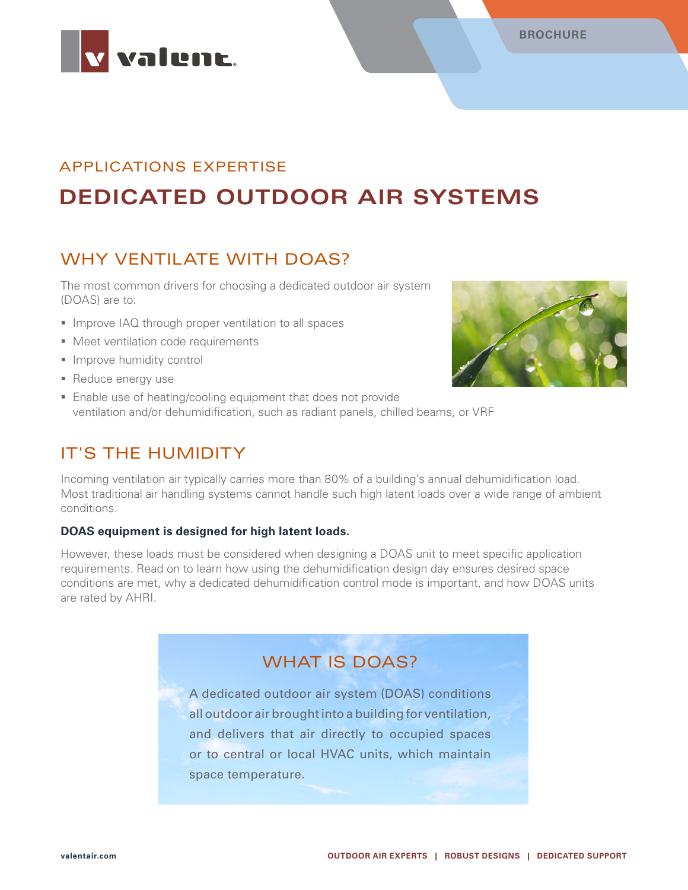



# APPLICATIONS EXPERTISE **DEDICATED OUTDOOR AIR SYSTEMS**

# WHY VENTILATE WITH DOAS?

The most common drivers for choosing a dedicated outdoor air system (DOAS) are to:

- **Improve IAQ through proper ventilation to all spaces**
- **Meet ventilation code requirements**
- **Improve humidity control**
- Reduce energy use
- Enable use of heating/cooling equipment that does not provide ventilation and/or dehumidification, such as radiant panels, chilled beams, or VRF

## IT'S THE HUMIDITY

Incoming ventilation air typically carries more than 80% of a building's annual dehumidification load. Most traditional air handling systems cannot handle such high latent loads over a wide range of ambient conditions.

#### **DOAS equipment is designed for high latent loads.**

However, these loads must be considered when designing a DOAS unit to meet specific application requirements. Read on to learn how using the dehumidification design day ensures desired space conditions are met, why a dedicated dehumidification control mode is important, and how DOAS units are rated by AHRI.

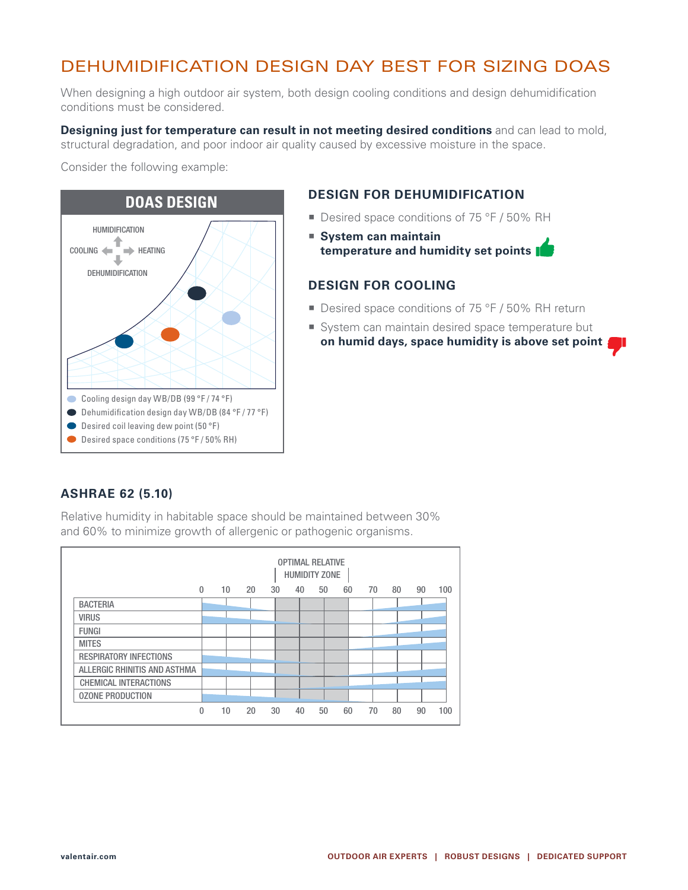# DEHUMIDIFICATION DESIGN DAY BEST FOR SIZING DOAS

When designing a high outdoor air system, both design cooling conditions and design dehumidification conditions must be considered.

**Designing just for temperature can result in not meeting desired conditions** and can lead to mold, structural degradation, and poor indoor air quality caused by excessive moisture in the space.

Consider the following example:



### **DESIGN FOR DEHUMIDIFICATION**

- Desired space conditions of 75 °F / 50% RH
- **System can maintain temperature and humidity set points**

### **DESIGN FOR COOLING**

- Desired space conditions of 75 °F / 50% RH return
- System can maintain desired space temperature but **on humid days, space humidity is above set point**

### **ASHRAE 62 (5.10)**

Relative humidity in habitable space should be maintained between 30% and 60% to minimize growth of allergenic or pathogenic organisms.

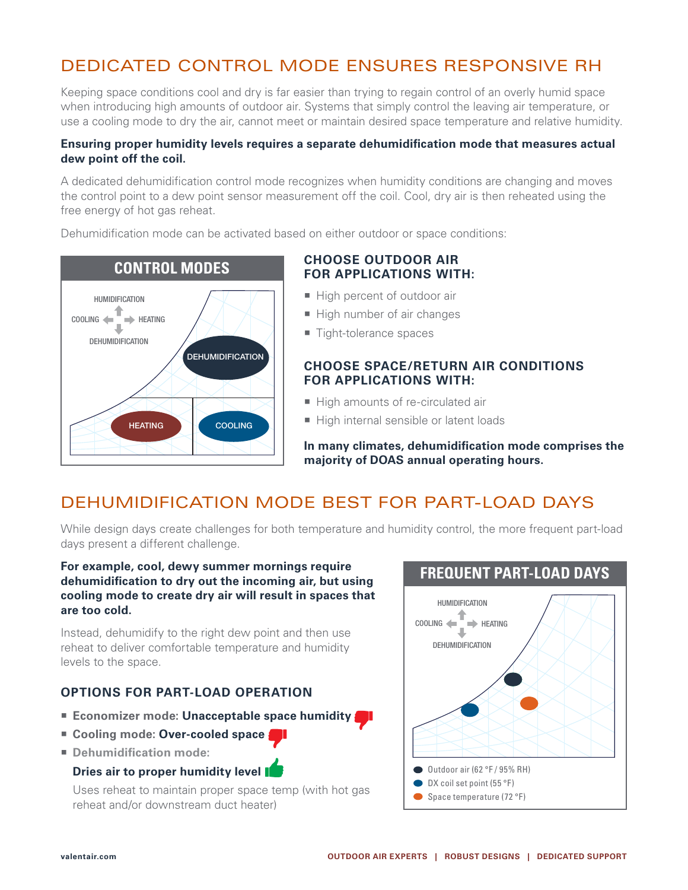# DEDICATED CONTROL MODE ENSURES RESPONSIVE RH

Keeping space conditions cool and dry is far easier than trying to regain control of an overly humid space when introducing high amounts of outdoor air. Systems that simply control the leaving air temperature, or use a cooling mode to dry the air, cannot meet or maintain desired space temperature and relative humidity.

#### **Ensuring proper humidity levels requires a separate dehumidification mode that measures actual dew point off the coil.**

A dedicated dehumidification control mode recognizes when humidity conditions are changing and moves the control point to a dew point sensor measurement off the coil. Cool, dry air is then reheated using the free energy of hot gas reheat.

Dehumidification mode can be activated based on either outdoor or space conditions:



### **CHOOSE OUTDOOR AIR FOR APPLICATIONS WITH:**

- High percent of outdoor air
- High number of air changes
- Tight-tolerance spaces

### **CHOOSE SPACE/RETURN AIR CONDITIONS FOR APPLICATIONS WITH:**

- High amounts of re-circulated air
- High internal sensible or latent loads

**In many climates, dehumidification mode comprises the majority of DOAS annual operating hours.**

# DEHUMIDIFICATION MODE BEST FOR PART-LOAD DAYS

While design days create challenges for both temperature and humidity control, the more frequent part-load days present a different challenge.

#### **For example, cool, dewy summer mornings require dehumidification to dry out the incoming air, but using cooling mode to create dry air will result in spaces that are too cold.**

Instead, dehumidify to the right dew point and then use reheat to deliver comfortable temperature and humidity levels to the space.

### **OPTIONS FOR PART-LOAD OPERATION**

- **Example 2** Economizer mode: Unacceptable space humidity
- Cooling mode: Over-cooled space
- **Dehumidification mode:**

### **Dries air to proper humidity level**

Uses reheat to maintain proper space temp (with hot gas reheat and/or downstream duct heater)

### **FREQUENT PART-LOAD DAYS**